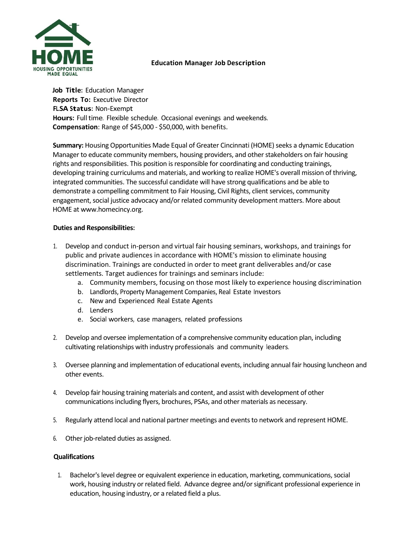

# **Education Manager Job Description**

**Job Title:** Education Manager **Reports To:** Executive Director **FL.SA Status:** Non-Exempt **Hours:** Full time. Flexible schedule. Occasional evenings and weekends. **Compensation**: Range of \$45,000 - \$50,000, with benefits.

**Summary:** Housing Opportunities Made Equal of Greater Cincinnati (HOME) seeks a dynamic Education Manager to educate community members, housing providers, and other stakeholders on fair housing rights and responsibilities. This position is responsible for coordinating and conducting trainings, developing training curriculums and materials, and working to realize HOME's overall mission of thriving, integrated communities. The successful candidate will have strong qualifications and be able to demonstrate a compelling commitment to Fair Housing, Civil Rights, client services, community engagement, social justice advocacy and/or related community development matters. More about HOME a[t www.homecincy.org.](http://www.homecincy.org/)

## **Duties and Responsibilities:**

- 1. Develop and conduct in-person and virtual fair housing seminars, workshops, and trainings for public and private audiences in accordance with HOME's mission to eliminate housing discrimination. Trainings are conducted in order to meet grant deliverables and/or case settlements. Target audiences for trainings and seminars include:
	- a. Community members, focusing on those most likely to experience housing discrimination
	- b. Landlords, Property Management Companies, Real Estate Investors
	- c. New and Experienced Real Estate Agents
	- d. Lenders
	- e. Social workers, case managers, related professions
- 2. Develop and oversee implementation of a comprehensive community education plan, including cultivating relationships with industry professionals and community leaders.
- 3. Oversee planning and implementation of educational events, including annual fair housing luncheon and other events.
- 4. Develop fair housing training materials and content, and assist with development of other communications including flyers, brochures, PSAs, and other materials as necessary.
- 5. Regularly attend local and national partner meetings and events to network and represent HOME.
- 6. Other job-related duties as assigned.

## **Qualifications**

1. Bachelor's level degree or equivalent experience in education, marketing, communications, social work, housing industry or related field. Advance degree and/or significant professional experience in education, housing industry, or a related field a plus.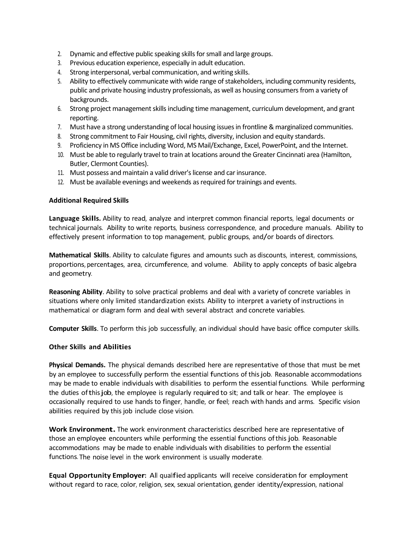- 2. Dynamic and effective public speaking skills for small and large groups.
- 3. Previous education experience, especially in adult education.
- 4. Strong interpersonal, verbal communication, and writing skills.
- 5. Ability to effectively communicate with wide range of stakeholders, including community residents, public and private housing industry professionals, as well as housing consumers from a variety of backgrounds.
- 6. Strong project management skills including time management, curriculum development, and grant reporting.
- 7. Must have a strong understanding of local housing issues in frontline & marginalized communities.
- 8. Strong commitment to Fair Housing, civil rights, diversity, inclusion and equity standards.
- 9. Proficiency in MS Office including Word, MS Mail/Exchange, Excel, PowerPoint, and the Internet.
- 10. Must be able to regularly travel to train at locations around the Greater Cincinnati area (Hamilton, Butler, Clermont Counties).
- 11. Must possess and maintain a valid driver's license and car insurance.
- 12. Must be available evenings and weekends as required for trainings and events.

### **Additional Required Skills**

**Language Skills.** Ability to read, analyze and interpret common financial reports, legal documents or technical journals. Ability to write reports, business correspondence, and procedure manuals. Ability to effectively present information to top management, public groups, and/or boards of directors.

**Mathematical Skills**. Ability to calculate figures and amounts such as discounts, interest, commissions, proportions, percentages, area, circumference, and volume. Ability to apply concepts of basic algebra and geometry.

**Reasoning Ability**. Ability to solve practical problems and deal with a variety of concrete variables in situations where only limited standardization exists. Ability to interpret a variety of instructions in mathematical or diagram form and deal with several abstract and concrete variables.

**Computer Skills**. To perform this job successfully, an individual should have basic office computer skills.

### **Other Skills and Abilities**

**Physical Demands.** The physical demands described here are representative of those that must be met by an employee to successfully perform the essential functions of thisjob. Reasonable accommodations may be made to enable individuals with disabilities to perform the essential functions. While performing the duties ofthisjob, the employee is regularly required to sit; and talk or hear. The employee is occasionally required to use hands to finger, handle, or feel; reach with hands and arms. Specific vision abilities required by this job include close vision.

**Work Environment.** The work environment characteristics described here are representative of those an employee encounters while performing the essential functions ofthis job. Reasonable accommodations may be made to enable individuals with disabilities to perform the essential functions. The noise level in the work environment is usually moderate.

**Equal Opportunity Employer:** All qualified applicants will receive consideration for employment without regard to race, color, religion, sex, sexual orientation, gender identity/expression, national